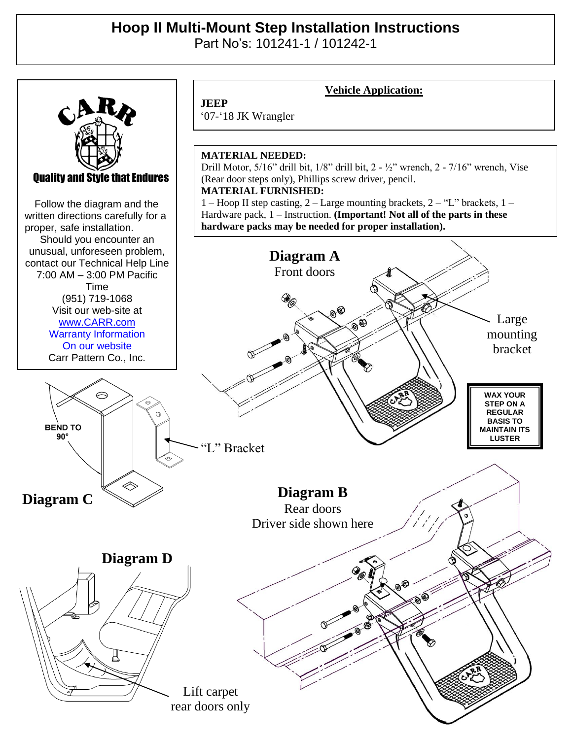## **Hoop II Multi-Mount Step Installation Instructions**

Part No's: 101241-1 / 101242-1